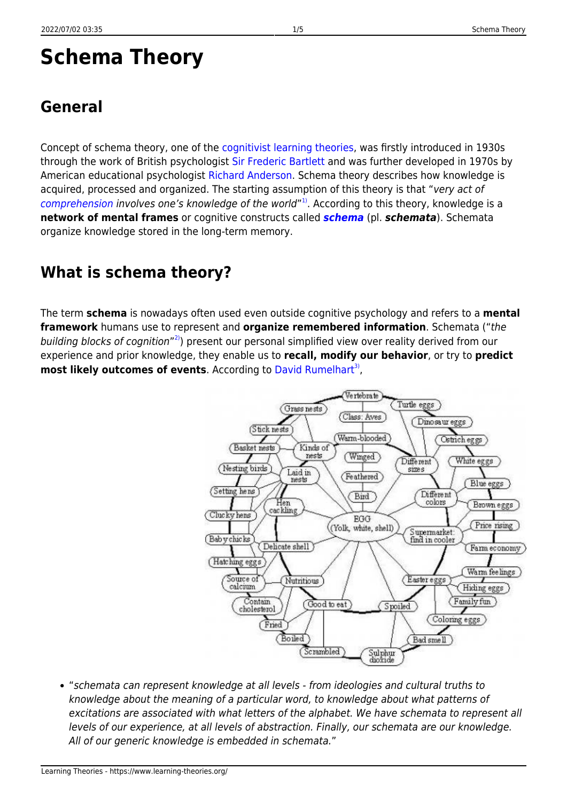# **Schema Theory**

Concept of schema theory, one of the [cognitivist learning theories](https://www.learning-theories.org/doku.php?id=learning_paradigms:cognitivism#learning_theories), was firstly introduced in 1930s through the work of British psychologist [Sir Frederic Bartlett](http://www.ppsis.cam.ac.uk/bartlett/) and was further developed in 1970s by American educational psychologist [Richard Anderson.](http://www.education.com/reference/article/anderson-richard-chase-1934-/) Schema theory describes how knowledge is acquired, processed and organized. The starting assumption of this theory is that "very act of [comprehension](https://www.learning-theories.org/doku.php?id=glossary#comprehension) involves one's knowledge of the world"<sup>[1\)](#page--1-0)</sup>. According to this theory, knowledge is a **network of mental frames** or cognitive constructs called *[schema](https://www.learning-theories.org/doku.php?id=glossary#schema)* (pl. *schemata*). Schemata organize knowledge stored in the long-term memory.

# **What is schema theory?**

The term **schema** is nowadays often used even outside cognitive psychology and refers to a **mental framework** humans use to represent and **organize remembered information**. Schemata ("the building blocks of cognition"<sup>2</sup>) present our personal simplified view over reality derived from our experience and prior knowledge, they enable us to **recall, modify our behavior**, or try to **predict** most likely outcomes of events. According to [David Rumelhart](http://rumelhartprize.org/biography.htm)<sup>[3\)](#page--1-0)</sup>,



"schemata can represent knowledge at all levels - from ideologies and cultural truths to knowledge about the meaning of a particular word, to knowledge about what patterns of excitations are associated with what letters of the alphabet. We have schemata to represent all levels of our experience, at all levels of abstraction. Finally, our schemata are our knowledge. All of our generic knowledge is embedded in schemata."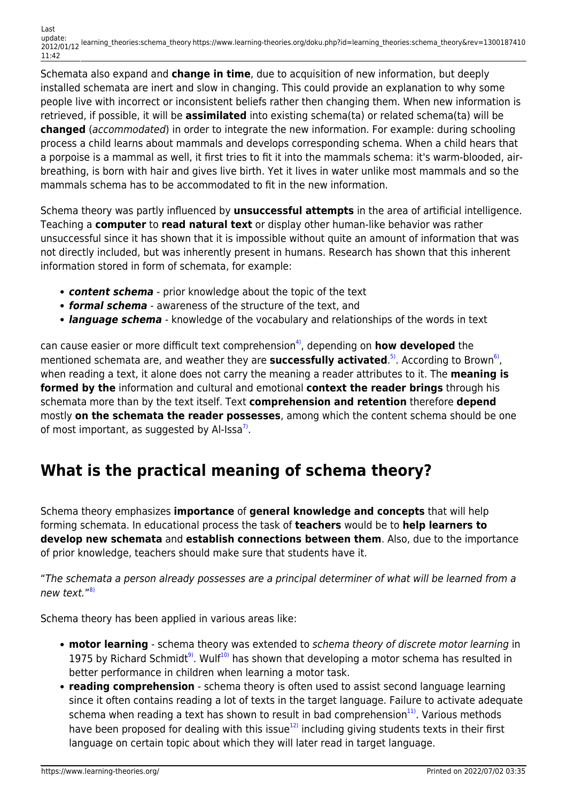Schemata also expand and **change in time**, due to acquisition of new information, but deeply installed schemata are inert and slow in changing. This could provide an explanation to why some people live with incorrect or inconsistent beliefs rather then changing them. When new information is retrieved, if possible, it will be **assimilated** into existing schema(ta) or related schema(ta) will be **changed** (accommodated) in order to integrate the new information. For example: during schooling process a child learns about mammals and develops corresponding schema. When a child hears that a porpoise is a mammal as well, it first tries to fit it into the mammals schema: it's warm-blooded, airbreathing, is born with hair and gives live birth. Yet it lives in water unlike most mammals and so the mammals schema has to be accommodated to fit in the new information.

Schema theory was partly influenced by **unsuccessful attempts** in the area of artificial intelligence. Teaching a **computer** to **read natural text** or display other human-like behavior was rather unsuccessful since it has shown that it is impossible without quite an amount of information that was not directly included, but was inherently present in humans. Research has shown that this inherent information stored in form of schemata, for example:

- *content schema* prior knowledge about the topic of the text
- *formal schema* awareness of the structure of the text, and
- *language schema* knowledge of the vocabulary and relationships of the words in text

can cause easier or more difficult text comprehension<sup>4</sup>, depending on **how developed** the mentioned schemata are, and weather they are **successfully activated**.<sup>[5\)](#page--1-0)</sup>. According to Brown<sup>[6\)](#page--1-0)</sup>, when reading a text, it alone does not carry the meaning a reader attributes to it. The **meaning is formed by the** information and cultural and emotional **context the reader brings** through his schemata more than by the text itself. Text **comprehension and retention** therefore **depend** mostly **on the schemata the reader possesses**, among which the content schema should be one of most important, as suggested by Al-Issa<sup>7</sup>.

## **What is the practical meaning of schema theory?**

Schema theory emphasizes **importance** of **general knowledge and concepts** that will help forming schemata. In educational process the task of **teachers** would be to **help learners to develop new schemata** and **establish connections between them**. Also, due to the importance of prior knowledge, teachers should make sure that students have it.

"The schemata a person already possesses are a principal determiner of what will be learned from a new text."<sup>[8\)](#page--1-0)</sup>

Schema theory has been applied in various areas like:

- **motor learning** schema theory was extended to schema theory of discrete motor learning in 1975 by Richard Schmidt<sup>9</sup>. Wulf<sup>10</sup> has shown that developing a motor schema has resulted in better performance in children when learning a motor task.
- **reading comprehension** schema theory is often used to assist second language learning since it often contains reading a lot of texts in the target language. Failure to activate adequate schema when reading a text has shown to result in bad comprehension $11$ <sup>11</sup>. Various methods have been proposed for dealing with this issue $12$  including giving students texts in their first language on certain topic about which they will later read in target language.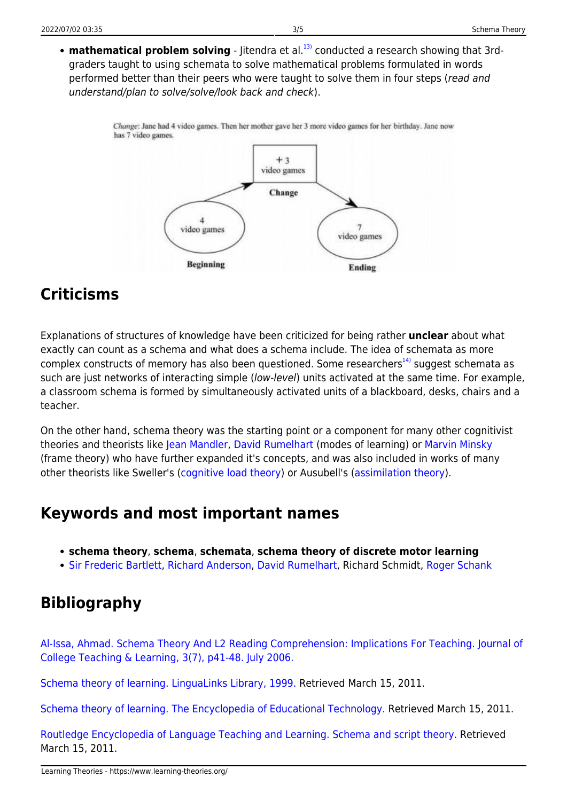• **mathematical problem solving** - Jitendra et al.<sup>[13\)](#page--1-0)</sup> conducted a research showing that 3rdgraders taught to using schemata to solve mathematical problems formulated in words performed better than their peers who were taught to solve them in four steps (read and understand/plan to solve/solve/look back and check).

> Change: Jane had 4 video games. Then her mother gave her 3 more video games for her birthday. Jane now has 7 video games.



## **Criticisms**

Explanations of structures of knowledge have been criticized for being rather **unclear** about what exactly can count as a schema and what does a schema include. The idea of schemata as more complex constructs of memory has also been questioned. Some researchers<sup>[14\)](#page--1-0)</sup> suggest schemata as such are just networks of interacting simple (low-level) units activated at the same time. For example, a classroom schema is formed by simultaneously activated units of a blackboard, desks, chairs and a teacher.

On the other hand, schema theory was the starting point or a component for many other cognitivist theories and theorists like [Jean Mandler](http://www.cogsci.ucsd.edu/~jean/), [David Rumelhart](http://rumelhartprize.org/biography.htm) (modes of learning) or [Marvin Minsky](http://web.media.mit.edu/~minsky/) (frame theory) who have further expanded it's concepts, and was also included in works of many other theorists like Sweller's ([cognitive load theory](https://www.learning-theories.org/doku.php?id=learning_theories:cognitive_load_theory)) or Ausubell's ([assimilation theory](https://www.learning-theories.org/doku.php?id=learning_theories:assimilation_theory)).

#### **Keywords and most important names**

- **schema theory**, **schema**, **schemata**, **schema theory of discrete motor learning**
- [Sir Frederic Bartlett,](http://www.ppsis.cam.ac.uk/bartlett/) [Richard Anderson,](http://www.education.com/reference/article/anderson-richard-chase-1934-/) [David Rumelhart,](http://rumelhartprize.org/biography.htm) Richard Schmidt, [Roger Schank](http://www.rogerschank.com/)

## **Bibliography**

[Al-Issa, Ahmad. Schema Theory And L2 Reading Comprehension: Implications For Teaching. Journal of](http://www.cluteinstitute-onlinejournals.com/PDFs/2006100.pdf) [College Teaching & Learning, 3\(7\), p41-48. July 2006.](http://www.cluteinstitute-onlinejournals.com/PDFs/2006100.pdf)

[Schema theory of learning. LinguaLinks Library, 1999.](http://www.sil.org/lingualinks/literacy/implementaliteracyprogram/schematheoryoflearning.htm) Retrieved March 15, 2011.

[Schema theory of learning. The Encyclopedia of Educational Technology.](http://eet.sdsu.edu/eetwiki/index.php/Schema_theory_of_learning) Retrieved March 15, 2011.

[Routledge Encyclopedia of Language Teaching and Learning. Schema and script theory.](http://www.bookrags.com/tandf/schema-and-script-theory-tf/) Retrieved March 15, 2011.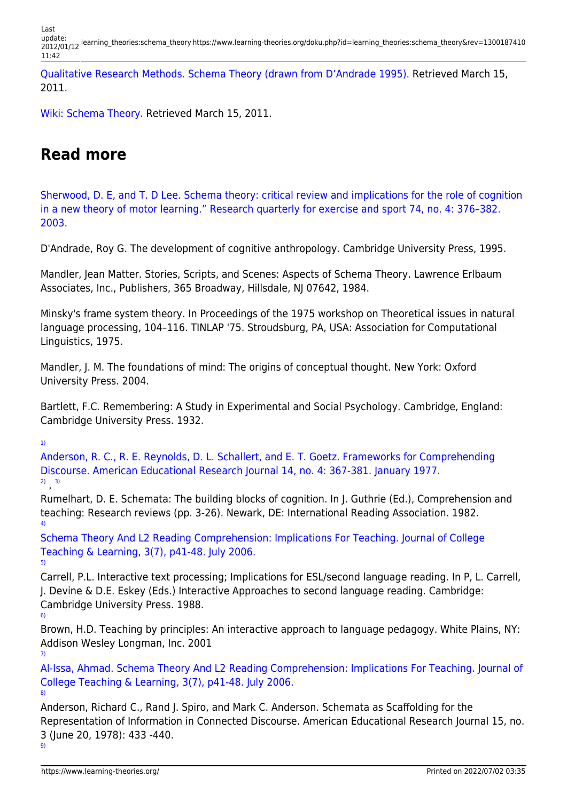Last update: 2012/01/12 learning\_theories:schema\_theory https://www.learning-theories.org/doku.php?id=learning\_theories:schema\_theory&rev=1300187410 11:42

[Qualitative Research Methods. Schema Theory \(drawn from D'Andrade 1995\).](http://www.analytictech.com/mb870/schema.htm) Retrieved March 15, 2011.

[Wiki: Schema Theory.](http://red6747.pbworks.com/w/page/8523053/Schema-Theory) Retrieved March 15, 2011.

#### **Read more**

[Sherwood, D. E, and T. D Lee. Schema theory: critical review and implications for the role of cognition](http://www.science.mcmaster.ca/kinesiology/images/stories/Sherwood202620Lee20RQES.pdf) [in a new theory of motor learning." Research quarterly for exercise and sport 74, no. 4: 376–382.](http://www.science.mcmaster.ca/kinesiology/images/stories/Sherwood202620Lee20RQES.pdf) [2003.](http://www.science.mcmaster.ca/kinesiology/images/stories/Sherwood202620Lee20RQES.pdf)

D'Andrade, Roy G. The development of cognitive anthropology. Cambridge University Press, 1995.

Mandler, Jean Matter. Stories, Scripts, and Scenes: Aspects of Schema Theory. Lawrence Erlbaum Associates, Inc., Publishers, 365 Broadway, Hillsdale, NJ 07642, 1984.

Minsky's frame system theory. In Proceedings of the 1975 workshop on Theoretical issues in natural language processing, 104–116. TINLAP '75. Stroudsburg, PA, USA: Association for Computational Linguistics, 1975.

Mandler, J. M. The foundations of mind: The origins of conceptual thought. New York: Oxford University Press. 2004.

Bartlett, F.C. Remembering: A Study in Experimental and Social Psychology. Cambridge, England: Cambridge University Press. 1932.

[1\)](#page--1-0)

[Anderson, R. C., R. E. Reynolds, D. L. Schallert, and E. T. Goetz. Frameworks for Comprehending](http://aer.sagepub.com/content/14/4/367.abstract) [Discourse. American Educational Research Journal 14, no. 4: 367-381. January 1977.](http://aer.sagepub.com/content/14/4/367.abstract) [2\)](#page--1-0) , [3\)](#page--1-0)

Rumelhart, D. E. Schemata: The building blocks of cognition. In J. Guthrie (Ed.), Comprehension and teaching: Research reviews (pp. 3-26). Newark, DE: International Reading Association. 1982. [4\)](#page--1-0)

[Schema Theory And L2 Reading Comprehension: Implications For Teaching. Journal of College](http://www.cluteinstitute-onlinejournals.com/PDFs/2006100.pdf) [Teaching & Learning, 3\(7\), p41-48. July 2006.](http://www.cluteinstitute-onlinejournals.com/PDFs/2006100.pdf) [5\)](#page--1-0)

Carrell, P.L. Interactive text processing; Implications for ESL/second language reading. In P, L. Carrell, J. Devine & D.E. Eskey (Eds.) Interactive Approaches to second language reading. Cambridge: Cambridge University Press. 1988.

Brown, H.D. Teaching by principles: An interactive approach to language pedagogy. White Plains, NY: Addison Wesley Longman, Inc. 2001 [7\)](#page--1-0)

[Al-Issa, Ahmad. Schema Theory And L2 Reading Comprehension: Implications For Teaching. Journal of](http://www.cluteinstitute-onlinejournals.com/PDFs/2006100.pdf) [College Teaching & Learning, 3\(7\), p41-48. July 2006.](http://www.cluteinstitute-onlinejournals.com/PDFs/2006100.pdf) [8\)](#page--1-0)

Anderson, Richard C., Rand J. Spiro, and Mark C. Anderson. Schemata as Scaffolding for the Representation of Information in Connected Discourse. American Educational Research Journal 15, no. 3 (June 20, 1978): 433 -440.

[6\)](#page--1-0)